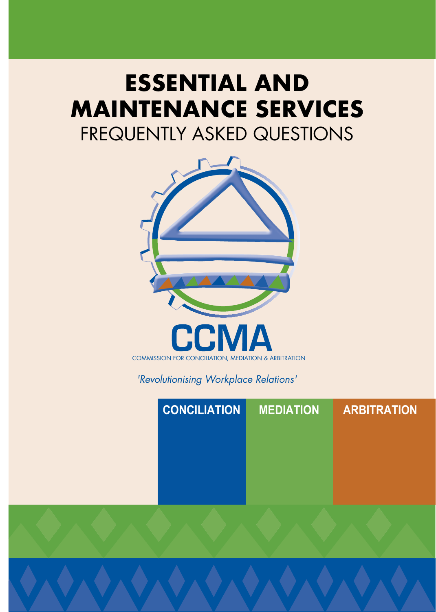# **ESSENTIAL AND MAINTENANCE SERVICES** FREQUENTLY ASKED QUESTIONS



*'Revolutionising Workplace Relations'*

| <b>CONCILIATION</b> | <b>MEDIATION</b> | <b>ARBITRATION</b> |
|---------------------|------------------|--------------------|
|                     |                  |                    |
|                     |                  |                    |
|                     |                  |                    |
|                     |                  |                    |
|                     |                  |                    |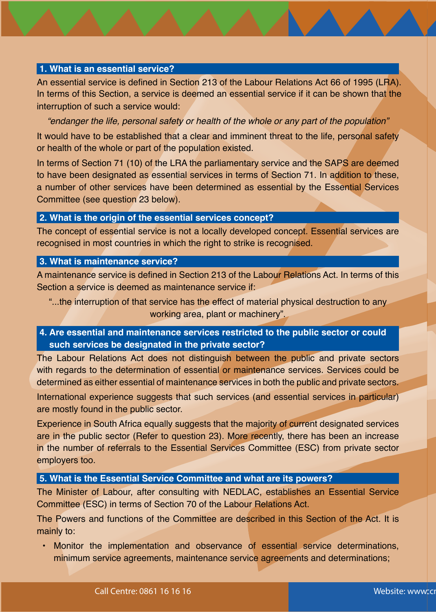#### **1. What is an essential service?**

An essential service is defined in Section 213 of the Labour Relations Act 66 of 1995 (LRA). In terms of this Section, a service is deemed an essential service if it can be shown that the interruption of such a service would:

*"endanger the life, personal safety or health of the whole or any part of the population"*

It would have to be established that a clear and imminent threat to the life, personal safety or health of the whole or part of the population existed.

In terms of Section 71 (10) of the LRA the parliamentary service and the SAPS are deemed to have been designated as essential services in terms of Section 71. In addition to these, a number of other services have been determined as essential by the Essential Services Committee (see question 23 below).

#### **2. What is the origin of the essential services concept?**

The concept of essential service is not a locally developed concept. Essential services are recognised in most countries in which the right to strike is recognised.

#### **3. What is maintenance service?**

A maintenance service is defined in Section 213 of the Labour Relations Act. In terms of this Section a service is deemed as maintenance service if:

"...the interruption of that service has the effect of material physical destruction to any working area, plant or machinery".

**4. Are essential and maintenance services restricted to the public sector or could such services be designated in the private sector?**

The Labour Relations Act does not distinguish between the public and private sectors with regards to the determination of essential or maintenance services. Services could be determined as either essential of maintenance services in both the public and private sectors.

International experience suggests that such services (and essential services in particular) are mostly found in the public sector.

Experience in South Africa equally suggests that the majority of current designated services are in the public sector (Refer to question 23). More recently, there has been an increase in the number of referrals to the Essential Services Committee (ESC) from private sector employers too.

#### **5. What is the Essential Service Committee and what are its powers?**

The Minister of Labour, after consulting with NEDLAC, establishes an Essential Service Committee (ESC) in terms of Section 70 of the Labour Relations Act.

The Powers and functions of the Committee are described in this Section of the Act. It is mainly to:

• Monitor the implementation and observance of essential service determinations, minimum service agreements, maintenance service agreements and determinations;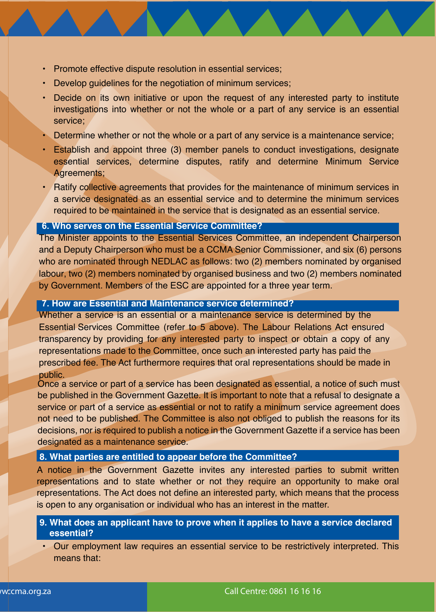- Promote effective dispute resolution in essential services;
- Develop guidelines for the negotiation of minimum services;
- Decide on its own initiative or upon the request of any interested party to institute investigations into whether or not the whole or a part of any service is an essential service;
- Determine whether or not the whole or a part of any service is a maintenance service;
- Establish and appoint three (3) member panels to conduct investigations, designate essential services, determine disputes, ratify and determine Minimum Service Agreements;
- Ratify collective agreements that provides for the maintenance of minimum services in a service designated as an essential service and to determine the minimum services required to be maintained in the service that is designated as an essential service.

#### **6. Who serves on the Essential Service Committee?**

The Minister appoints to the Essential Services Committee, an independent Chairperson and a Deputy Chairperson who must be a CCMA Senior Commissioner, and six (6) persons who are nominated through NEDLAC as follows: two (2) members nominated by organised labour, two (2) members nominated by organised business and two (2) members nominated by Government. Members of the ESC are appointed for a three year term.

#### **7. How are Essential and Maintenance service determined?**

Whether a service is an essential or a maintenance service is determined by the Essential Services Committee (refer to 5 above). The Labour Relations Act ensured transparency by providing for any interested party to inspect or obtain a copy of any representations made to the Committee, once such an interested party has paid the prescribed fee. The Act furthermore requires that oral representations should be made in public.

Once a service or part of a service has been designated as essential, a notice of such must be published in the Government Gazette. It is important to note that a refusal to designate a service or part of a service as essential or not to ratify a minimum service agreement does not need to be published. The Committee is also not obliged to publish the reasons for its decisions, nor is required to publish a notice in the Government Gazette if a service has been designated as a maintenance service.

#### **8. What parties are entitled to appear before the Committee?**

A notice in the Government Gazette invites any interested parties to submit written representations and to state whether or not they require an opportunity to make oral representations. The Act does not define an interested party, which means that the process is open to any organisation or individual who has an interest in the matter.

**9. What does an applicant have to prove when it applies to have a service declared essential?**

• Our employment law requires an essential service to be restrictively interpreted. This means that: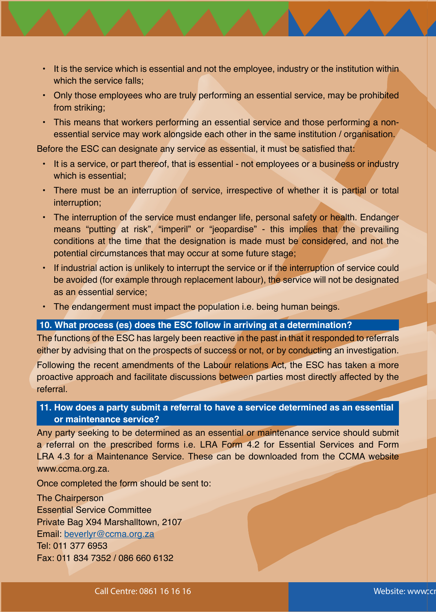- It is the service which is essential and not the employee, industry or the institution within which the service falls;
- Only those employees who are truly performing an essential service, may be prohibited from striking;
- This means that workers performing an essential service and those performing a nonessential service may work alongside each other in the same institution / organisation.

Before the ESC can designate any service as essential, it must be satisfied that:

- It is a service, or part thereof, that is essential not employees or a business or industry which is essential;
- There must be an interruption of service, irrespective of whether it is partial or total interruption;
- The interruption of the service must endanger life, personal safety or health. Endanger means "putting at risk", "imperil" or "jeopardise" - this implies that the prevailing conditions at the time that the designation is made must be considered, and not the potential circumstances that may occur at some future stage;
- If industrial action is unlikely to interrupt the service or if the interruption of service could be avoided (for example through replacement labour), the service will not be designated as an essential service;
- The endangerment must impact the population i.e. being human beings.

#### **10. What process (es) does the ESC follow in arriving at a determination?**

The functions of the ESC has largely been reactive in the past in that it responded to referrals either by advising that on the prospects of success or not, or by conducting an investigation.

Following the recent amendments of the Labour relations Act, the ESC has taken a more proactive approach and facilitate discussions between parties most directly affected by the referral.

#### **11. How does a party submit a referral to have a service determined as an essential or maintenance service?**

Any party seeking to be determined as an essential or maintenance service should submit a referral on the prescribed forms i.e. LRA Form 4.2 for Essential Services and Form LRA 4.3 for a Maintenance Service. These can be downloaded from the CCMA website www.ccma.org.za.

Once completed the form should be sent to:

The Chairperson Essential Service Committee Private Bag X94 Marshalltown, 2107 Email: beverlyr@ccma.org.za Tel: 011 377 6953 Fax: 011 834 7352 / 086 660 6132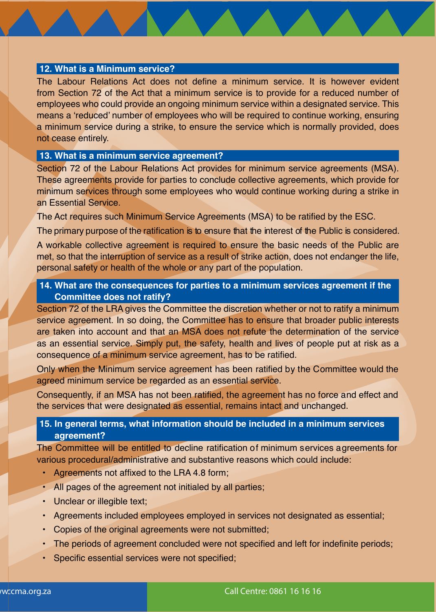#### **12. What is a Minimum service?**

The Labour Relations Act does not define a minimum service. It is however evident from Section 72 of the Act that a minimum service is to provide for a reduced number of employees who could provide an ongoing minimum service within a designated service. This means a 'reduced' number of employees who will be required to continue working, ensuring a minimum service during a strike, to ensure the service which is normally provided, does not cease entirely.

#### **13. What is a minimum service agreement?**

Section 72 of the Labour Relations Act provides for minimum service agreements (MSA). These agreements provide for parties to conclude collective agreements, which provide for minimum services through some employees who would continue working during a strike in an Essential Service.

The Act requires such Minimum Service Agreements (MSA) to be ratified by the ESC.

The primary purpose of the ratification is to ensure that the interest of the Public is considered.

A workable collective agreement is required to ensure the basic needs of the Public are met, so that the interruption of service as a result of strike action, does not endanger the life, personal safety or health of the whole or any part of the population.

#### **14. What are the consequences for parties to a minimum services agreement if the Committee does not ratify?**

Section 72 of the LRA gives the Committee the discretion whether or not to ratify a minimum service agreement. In so doing, the Committee has to ensure that broader public interests are taken into account and that an MSA does not refute the determination of the service as an essential service. Simply put, the safety, health and lives of people put at risk as a consequence of a minimum service agreement, has to be ratified.

Only when the Minimum service agreement has been ratified by the Committee would the agreed minimum service be regarded as an essential service.

Consequently, if an MSA has not been ratified, the agreement has no force and effect and the services that were designated as essential, remains intact and unchanged.

#### **15. In general terms, what information should be included in a minimum services agreement?**

The Committee will be entitled to decline ratification of minimum services agreements for various procedural/administrative and substantive reasons which could include:

- Agreements not affixed to the LRA 4.8 form;
- All pages of the agreement not initialed by all parties;
- Unclear or illegible text;
- Agreements included employees employed in services not designated as essential;
- Copies of the original agreements were not submitted;
- The periods of agreement concluded were not specified and left for indefinite periods;
- Specific essential services were not specified;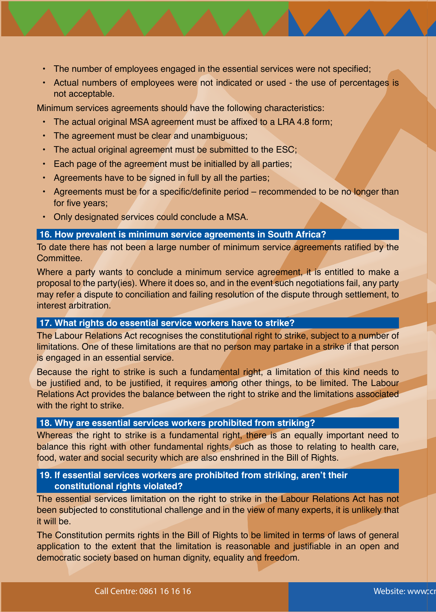- The number of employees engaged in the essential services were not specified;
- Actual numbers of employees were not indicated or used the use of percentages is not acceptable.

Minimum services agreements should have the following characteristics:

- The actual original MSA agreement must be affixed to a LRA 4.8 form;
- The agreement must be clear and unambiguous;
- The actual original agreement must be submitted to the ESC;
- Each page of the agreement must be initialled by all parties;
- Agreements have to be signed in full by all the parties;
- Agreements must be for a specific/definite period recommended to be no longer than for five years;
- Only designated services could conclude a MSA.

#### **16. How prevalent is minimum service agreements in South Africa?**

To date there has not been a large number of minimum service agreements ratified by the Committee.

Where a party wants to conclude a minimum service agreement, it is entitled to make a proposal to the party(ies). Where it does so, and in the event such negotiations fail, any party may refer a dispute to conciliation and failing resolution of the dispute through settlement, to interest arbitration.

#### **17. What rights do essential service workers have to strike?**

The Labour Relations Act recognises the constitutional right to strike, subject to a number of limitations. One of these limitations are that no person may partake in a strike if that person is engaged in an essential service.

Because the right to strike is such a fundamental right, a limitation of this kind needs to be justified and, to be justified, it requires among other things, to be limited. The Labour Relations Act provides the balance between the right to strike and the limitations associated with the right to strike.

#### **18. Why are essential services workers prohibited from striking?**

Whereas the right to strike is a fundamental right, there is an equally important need to balance this right with other fundamental rights, such as those to relating to health care, food, water and social security which are also enshrined in the Bill of Rights.

#### **19. If essential services workers are prohibited from striking, aren't their constitutional rights violated?**

The essential services limitation on the right to strike in the Labour Relations Act has not been subjected to constitutional challenge and in the view of many experts, it is unlikely that it will be.

The Constitution permits rights in the Bill of Rights to be limited in terms of laws of general application to the extent that the limitation is reasonable and justifiable in an open and democratic society based on human dignity, equality and freedom.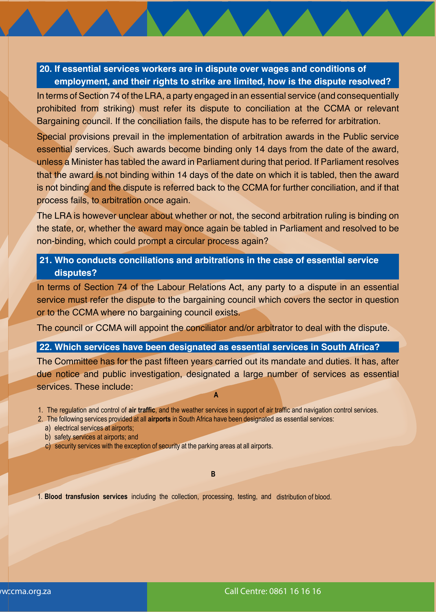#### **20. If essential services workers are in dispute over wages and conditions of employment, and their rights to strike are limited, how is the dispute resolved?**

In terms of Section 74 of the LRA, a party engaged in an essential service (and consequentially prohibited from striking) must refer its dispute to conciliation at the CCMA or relevant Bargaining council. If the conciliation fails, the dispute has to be referred for arbitration.

Special provisions prevail in the implementation of arbitration awards in the Public service essential services. Such awards become binding only 14 days from the date of the award, unless a Minister has tabled the award in Parliament during that period. If Parliament resolves that the award is not binding within 14 days of the date on which it is tabled, then the award is not binding and the dispute is referred back to the CCMA for further conciliation, and if that process fails, to arbitration once again.

The LRA is however unclear about whether or not, the second arbitration ruling is binding on the state, or, whether the award may once again be tabled in Parliament and resolved to be non-binding, which could prompt a circular process again?

#### **21. Who conducts conciliations and arbitrations in the case of essential service disputes?**

In terms of Section 74 of the Labour Relations Act, any party to a dispute in an essential service must refer the dispute to the bargaining council which covers the sector in question or to the CCMA where no bargaining council exists.

The council or CCMA will appoint the conciliator and/or arbitrator to deal with the dispute.

#### **22. Which services have been designated as essential services in South Africa?**

The Committee has for the past fifteen years carried out its mandate and duties. It has, after due notice and public investigation, designated a large number of services as essential services. These include:

**A** 

1. The regulation and control of **air traffic**, and the weather services in support of air traffic and navigation control services.

- 2. The following services provided at all **airports** in South Africa have been designated as essential services:
	- a) electrical services at airports;
	- b) safety services at airports; and
	- c) security services with the exception of security at the parking areas at all airports.

#### **B**

1. **Blood transfusion services** including the collection, processing, testing, and distribution of blood.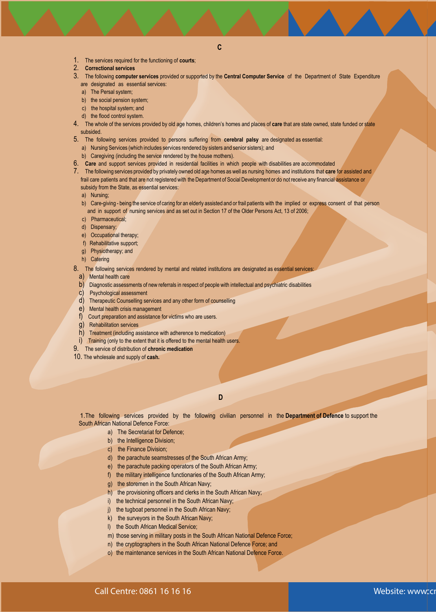- 1. The services required for the functioning of **courts**;
- 2. **Correctional services**
- 3. The following **computer services** provided or supported by the **Central Computer Service** of the Department of State Expenditure are designated as essential services:
	- a) The Persal system;
	- b) the social pension system;
	- c) the hospital system; and
	- d) the flood control system.
- 4. The whole of the services provided by old age homes, children's homes and places of **care** that are state owned, state funded or state subsided.
- 5. The following services provided to persons suffering from **cerebral palsy** are designated as essential:
- a) Nursing Services (which includes services rendered by sisters and senior sisters); and
- b) Caregiving (including the service rendered by the house mothers).
- 6. **Care** and support services provided in residential facilities in which people with disabilities are accommodated
- 7. The following services provided by privately owned old age homes as well as nursing homes and institutions that **care** for assisted and frail care patients and that are not registered with the Department of Social Development or do not receive any financial assistance or subsidy from the State, as essential services:
	- a) Nursing;
	- b) Care-giving being the service of caring for an elderly assisted and or frail patients with the implied or express consent of that person and in support of nursing services and as set out in Section 17 of the Older Persons Act, 13 of 2006;
	- c) Pharmaceutical;
	- d) Dispensary;
	- e) Occupational therapy;
	- f) Rehabilitative support;
	- g) Physiotherapy; and
	- h) Catering
- 8. The following services rendered by mental and related institutions are designated as essential services
	- a) Mental health care
	- b) Diagnostic assessments of new referrals in respect of people with intellectual and psychiatric disabilities
	- c) Psychological assessment
	- d) Therapeutic Counselling services and any other form of counselling
	- e) Mental health crisis management
	- f) Court preparation and assistance for victims who are users.
- g) Rehabilitation services
- h) Treatment (including assistance with adherence to medication)
- i) Training (only to the extent that it is offered to the mental health users.
- 9. The service of distribution of **chronic medication**
- 10. The wholesale and supply of **cash.**

**D** 

1.The following services provided by the following civilian personnel in the **Department of Defence** to support the South African National Defence Force:

- a) The Secretariat for Defence;
- b) the Intelligence Division;
- c) the Finance Division;
- d) the parachute seamstresses of the South African Army;
- e) the parachute packing operators of the South African Army;
- f) the military intelligence functionaries of the South African Army;
- g) the storemen in the South African Navy;
- h) the provisioning officers and clerks in the South African Navy;
- i) the technical personnel in the South African Navy;
- j) the tugboat personnel in the South African Navy;
- k) the surveyors in the South African Navy;
- l) the South African Medical Service;
- m) those serving in military posts in the South African National Defence Force;
- n) the cryptographers in the South African National Defence Force; and
- o) the maintenance services in the South African National Defence Force.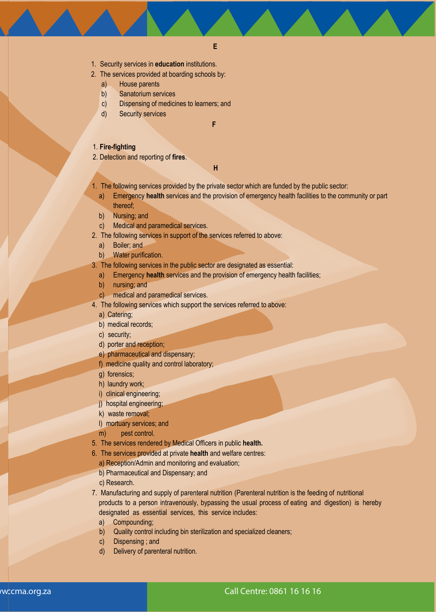- 1. Security services in **education** institutions.
- 2. The services provided at boarding schools by:
	- a) House parents
	- b) Sanatorium services
	- c) Dispensing of medicines to learners; and
	- d) Security services

**F** 

#### 1. **Fire-fighting**

2. Detection and reporting of **fires**.

**H** 

- 1. The following services provided by the private sector which are funded by the public sector:
	- a) Emergency **health** services and the provision of emergency health facilities to the community or part thereof;
	- b) Nursing; and
	- c) Medical and paramedical services.
- 2. The following services in support of the services referred to above:
	- a) Boiler; and
	- b) Water purification.
- 3. The following services in the public sector are designated as essential:
	- a) Emergency **health** services and the provision of emergency health facilities;
	- b) nursing; and
	- c) medical and paramedical services.
- 4. The following services which support the services referred to above:
	- a) Catering;
	- b) medical records;
	- c) security;
	- d) porter and reception;
	- e) pharmaceutical and dispensary;
	- f) medicine quality and control laboratory;
	- g) forensics;
	- h) laundry work;
	- i) clinical engineering;
	- i) hospital engineering;
	- k) waste removal;
	- l) mortuary services; and
	- m) pest control.
- 5. The services rendered by Medical Officers in public **health.**
- 6. The services provided at private **health** and welfare centres:
	- a) Reception/Admin and monitoring and evaluation;
	- b) Pharmaceutical and Dispensary; and
	- c) Research.
- 7. Manufacturing and supply of parenteral nutrition (Parenteral nutrition is the feeding of nutritional products to a person intravenously, bypassing the usual process of eating and digestion) is hereby designated as essential services, this service includes:
	- a) Compounding;
	- b) Quality control including bin sterilization and specialized cleaners;
	- c) Dispensing ; and
	- d) Delivery of parenteral nutrition.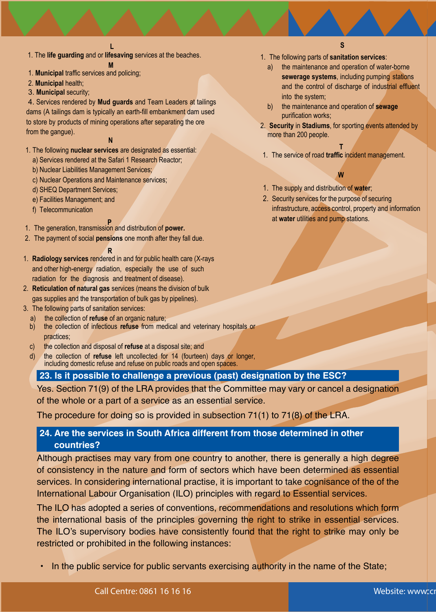1. The **life guarding** and or **lifesaving** services at the beaches.

- **M**  1. **Municipal** traffic services and policing;
- 2. **Municipal** health;
- 3. **Municipal** security;

4. Services rendered by **Mud guards** and Team Leaders at tailings dams (A tailings dam is typically an earth-fill embankment dam used to store by products of mining operations after separating the ore from the gangue).

#### **N**

- 1. The following **nuclear services** are designated as essential:
	- a) Services rendered at the Safari 1 Research Reactor;
	- b) Nuclear Liabilities Management Services;
	- c) Nuclear Operations and Maintenance services;
	- d) SHEQ Department Services;
	- e) Facilities Management; and
	- f) Telecommunication

- **P**  1. The generation, transmission and distribution of **power.**
- 2. The payment of social **pensions** one month after they fall due.

#### **R**

- 1. **Radiology services** rendered in and for public health care (X-rays and other high-energy radiation, especially the use of such radiation for the diagnosis and treatment of disease).
- 2. **Reticulation of natural gas** services (means the division of bulk gas supplies and the transportation of bulk gas by pipelines).
- 3. The following parts of sanitation services:
	- a) the collection of **refuse** of an organic nature;<br>b) the collection of infectious **refuse** from med
	- b) the collection of infectious **refuse** from medical and veterinary hospitals or practices;
	- c) the collection and disposal of **refuse** at a disposal site; and
	- d) the collection of **refuse** left uncollected for 14 (fourteen) days or longer, including domestic refuse and refuse on public roads and open spaces.

#### **23. Is it possible to challenge a previous (past) designation by the ESC?**

Yes. Section 71(9) of the LRA provides that the Committee may vary or cancel a designation of the whole or a part of a service as an essential service.

The procedure for doing so is provided in subsection 71(1) to 71(8) of the LRA.

#### **24. Are the services in South Africa different from those determined in other countries?**

Although practises may vary from one country to another, there is generally a high degree of consistency in the nature and form of sectors which have been determined as essential services. In considering international practise, it is important to take cognisance of the of the International Labour Organisation (ILO) principles with regard to Essential services.

The ILO has adopted a series of conventions, recommendations and resolutions which form the international basis of the principles governing the right to strike in essential services. The ILO's supervisory bodies have consistently found that the right to strike may only be restricted or prohibited in the following instances:

• In the public service for public servants exercising authority in the name of the State;

- **S**
- 1. The following parts of **sanitation services**:
	- a) the maintenance and operation of water-borne **sewerage systems**, including pumping stations and the control of discharge of industrial effluent into the system;
	- b) the maintenance and operation of **sewage** purification works;
- 2. **Security** in **Stadiums**, for sporting events attended by more than 200 people.

#### **T**

1. The service of road **traffic** incident management.

### **W**

- 1. The supply and distribution of **water**;
- 2. Security services for the purpose of securing infrastructure, access control, property and information at **water** utilities and pump stations.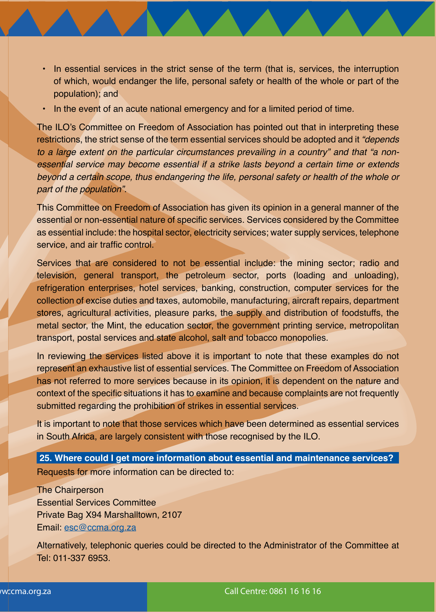- In essential services in the strict sense of the term (that is, services, the interruption of which, would endanger the life, personal safety or health of the whole or part of the population); and
- In the event of an acute national emergency and for a limited period of time.

The ILO's Committee on Freedom of Association has pointed out that in interpreting these restrictions, the strict sense of the term essential services should be adopted and it *"depends to a large extent on the particular circumstances prevailing in a country" and that "a nonessential service may become essential if a strike lasts beyond a certain time or extends beyond a certain scope, thus endangering the life, personal safety or health of the whole or part of the population".*

This Committee on Freedom of Association has given its opinion in a general manner of the essential or non-essential nature of specific services. Services considered by the Committee as essential include: the hospital sector, electricity services; water supply services, telephone service, and air traffic control.

Services that are considered to not be essential include: the mining sector; radio and television, general transport, the petroleum sector, ports (loading and unloading), refrigeration enterprises, hotel services, banking, construction, computer services for the collection of excise duties and taxes, automobile, manufacturing, aircraft repairs, department stores, agricultural activities, pleasure parks, the supply and distribution of foodstuffs, the metal sector, the Mint, the education sector, the government printing service, metropolitan transport, postal services and state alcohol, salt and tobacco monopolies.

In reviewing the services listed above it is important to note that these examples do not represent an exhaustive list of essential services. The Committee on Freedom of Association has not referred to more services because in its opinion, it is dependent on the nature and context of the specific situations it has to examine and because complaints are not frequently submitted regarding the prohibition of strikes in essential services.

It is important to note that those services which have been determined as essential services in South Africa, are largely consistent with those recognised by the ILO.

**25. Where could I get more information about essential and maintenance services?** Requests for more information can be directed to:

The Chairperson Essential Services Committee Private Bag X94 Marshalltown, 2107 Email: esc@ccma.org.za

Alternatively, telephonic queries could be directed to the Administrator of the Committee at Tel: 011-337 6953.